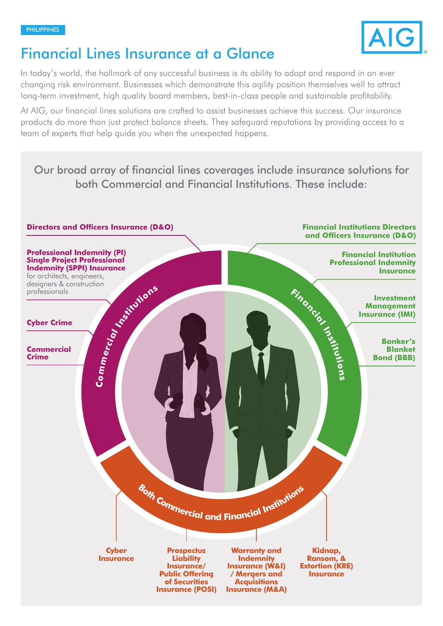

# Financial Lines Insurance at a Glance

In today's world, the hallmark of any successful business is its ability to adapt and respond in an ever changing risk environment. Businesses which demonstrate this agility position themselves well to attract long-term investment, high quality board members, best-in-class people and sustainable profitability.

At AIG, our financial lines solutions are crafted to assist businesses achieve this success. Our insurance products do more than just protect balance sheets. They safeguard reputations by providing access to a team of experts that help guide you when the unexpected happens.

Our broad array of financial lines coverages include insurance solutions for both Commercial and Financial Institutions. These include: